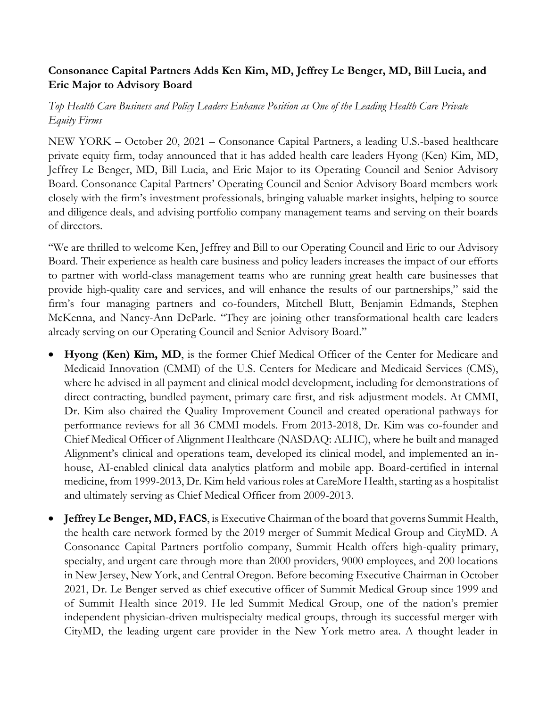## **Consonance Capital Partners Adds Ken Kim, MD, Jeffrey Le Benger, MD, Bill Lucia, and Eric Major to Advisory Board**

*Top Health Care Business and Policy Leaders Enhance Position as One of the Leading Health Care Private Equity Firms*

NEW YORK – October 20, 2021 – Consonance Capital Partners, a leading U.S.-based healthcare private equity firm, today announced that it has added health care leaders Hyong (Ken) Kim, MD, Jeffrey Le Benger, MD, Bill Lucia, and Eric Major to its Operating Council and Senior Advisory Board. Consonance Capital Partners' Operating Council and Senior Advisory Board members work closely with the firm's investment professionals, bringing valuable market insights, helping to source and diligence deals, and advising portfolio company management teams and serving on their boards of directors.

"We are thrilled to welcome Ken, Jeffrey and Bill to our Operating Council and Eric to our Advisory Board. Their experience as health care business and policy leaders increases the impact of our efforts to partner with world-class management teams who are running great health care businesses that provide high-quality care and services, and will enhance the results of our partnerships," said the firm's four managing partners and co-founders, Mitchell Blutt, Benjamin Edmands, Stephen McKenna, and Nancy-Ann DeParle. "They are joining other transformational health care leaders already serving on our Operating Council and Senior Advisory Board."

- **Hyong (Ken) Kim, MD**, is the former Chief Medical Officer of the Center for Medicare and Medicaid Innovation (CMMI) of the U.S. Centers for Medicare and Medicaid Services (CMS), where he advised in all payment and clinical model development, including for demonstrations of direct contracting, bundled payment, primary care first, and risk adjustment models. At CMMI, Dr. Kim also chaired the Quality Improvement Council and created operational pathways for performance reviews for all 36 CMMI models. From 2013-2018, Dr. Kim was co-founder and Chief Medical Officer of Alignment Healthcare (NASDAQ: ALHC), where he built and managed Alignment's clinical and operations team, developed its clinical model, and implemented an inhouse, AI-enabled clinical data analytics platform and mobile app. Board-certified in internal medicine, from 1999-2013, Dr. Kim held various roles at CareMore Health, starting as a hospitalist and ultimately serving as Chief Medical Officer from 2009-2013.
- **Jeffrey Le Benger, MD, FACS**, is Executive Chairman of the board that governs Summit Health, the health care network formed by the 2019 merger of Summit Medical Group and CityMD. A Consonance Capital Partners portfolio company, Summit Health offers high-quality primary, specialty, and urgent care through more than 2000 providers, 9000 employees, and 200 locations in New Jersey, New York, and Central Oregon. Before becoming Executive Chairman in October 2021, Dr. Le Benger served as chief executive officer of Summit Medical Group since 1999 and of Summit Health since 2019. He led Summit Medical Group, one of the nation's premier independent physician-driven multispecialty medical groups, through its successful merger with CityMD, the leading urgent care provider in the New York metro area. A thought leader in